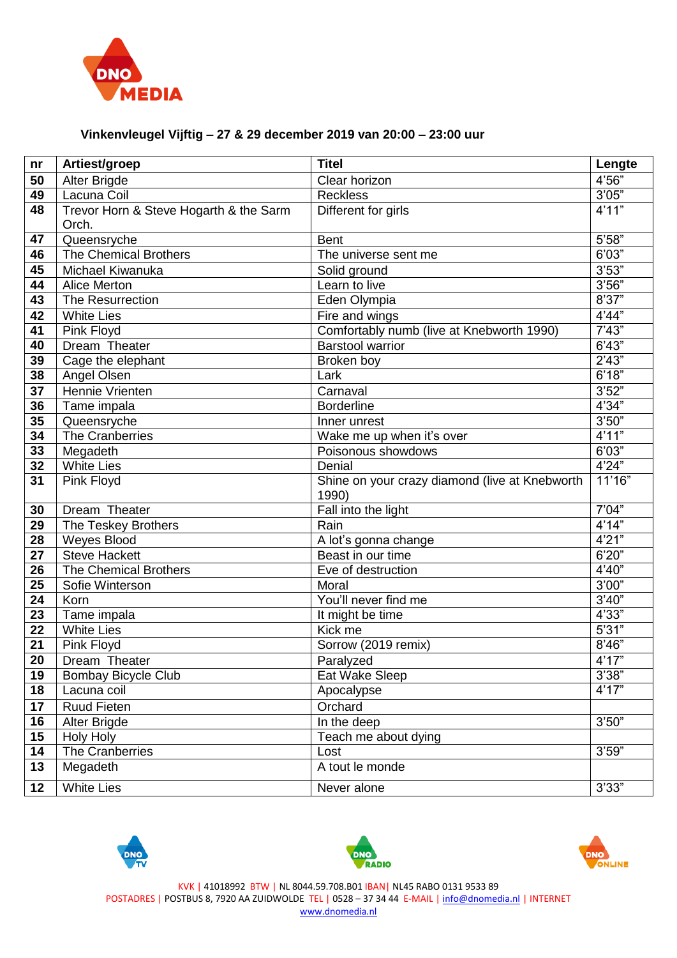

## **Vinkenvleugel Vijftig – 27 & 29 december 2019 van 20:00 – 23:00 uur**

| nr              | Artiest/groep                                   | <b>Titel</b>                                            | Lengte |
|-----------------|-------------------------------------------------|---------------------------------------------------------|--------|
| 50              | Alter Brigde                                    | Clear horizon                                           | 4'56"  |
| 49              | Lacuna Coil                                     | <b>Reckless</b>                                         | 3'05"  |
| 48              | Trevor Horn & Steve Hogarth & the Sarm<br>Orch. | Different for girls                                     | 4'11"  |
| 47              | Queensryche                                     | <b>Bent</b>                                             | 5'58"  |
| 46              | The Chemical Brothers                           | The universe sent me                                    | 6'03"  |
| 45              | Michael Kiwanuka                                | Solid ground                                            | 3'53"  |
| 44              | <b>Alice Merton</b>                             | Learn to live                                           | 3'56"  |
| 43              | The Resurrection                                | Eden Olympia                                            | 8'37"  |
| 42              | <b>White Lies</b>                               | Fire and wings                                          | 4'44"  |
| 41              | Pink Floyd                                      | Comfortably numb (live at Knebworth 1990)               | 7'43'' |
| 40              | Dream Theater                                   | <b>Barstool warrior</b>                                 | 6'43"  |
| 39              | Cage the elephant                               | Broken boy                                              | 2'43"  |
| 38              | Angel Olsen                                     | Lark                                                    | 6'18"  |
| 37              | Hennie Vrienten                                 | Carnaval                                                | 3'52"  |
| 36              | Tame impala                                     | <b>Borderline</b>                                       | 4'34"  |
| 35              | Queensryche                                     | Inner unrest                                            | 3'50"  |
| $\overline{34}$ | The Cranberries                                 | Wake me up when it's over                               | 4'11"  |
| 33              | Megadeth                                        | Poisonous showdows                                      | 6'03"  |
| 32              | <b>White Lies</b>                               | Denial                                                  | 4'24"  |
| $\overline{31}$ | Pink Floyd                                      | Shine on your crazy diamond (live at Knebworth<br>1990) | 11'16" |
| 30              | Dream Theater                                   | Fall into the light                                     | 7'04"  |
| 29              | The Teskey Brothers                             | Rain                                                    | 4'14"  |
| 28              | Weyes Blood                                     | A lot's gonna change                                    | 4'21"  |
| 27              | <b>Steve Hackett</b>                            | Beast in our time                                       | 6'20'' |
| 26              | <b>The Chemical Brothers</b>                    | Eve of destruction                                      | 4'40"  |
| 25              | Sofie Winterson                                 | Moral                                                   | 3'00"  |
| 24              | Korn                                            | You'll never find me                                    | 3'40"  |
| 23              | Tame impala                                     | It might be time                                        | 4'33"  |
| 22              | <b>White Lies</b>                               | Kick me                                                 | 5'31"  |
| $\overline{21}$ | Pink Floyd                                      | Sorrow (2019 remix)                                     | 8'46"  |
| 20              | Dream Theater                                   | Paralyzed                                               | 4'17"  |
| 19              | Bombay Bicycle Club                             | Eat Wake Sleep                                          | 3'38"  |
| 18              | Lacuna coil                                     | Apocalypse                                              | 4'17"  |
| 17              | <b>Ruud Fieten</b>                              | Orchard                                                 |        |
| 16              | Alter Brigde                                    | In the deep                                             | 3'50"  |
| 15              | <b>Holy Holy</b>                                | Teach me about dying                                    |        |
| 14              | The Cranberries                                 | Lost                                                    | 3'59"  |
| 13              | Megadeth                                        | A tout le monde                                         |        |
| 12              | <b>White Lies</b>                               | Never alone                                             | 3'33"  |